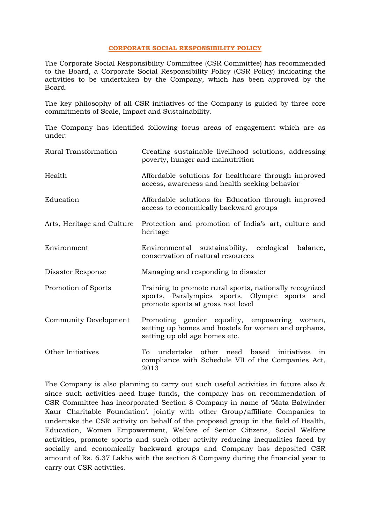## **CORPORATE SOCIAL RESPONSIBILITY POLICY**

The Corporate Social Responsibility Committee (CSR Committee) has recommended to the Board, a Corporate Social Responsibility Policy (CSR Policy) indicating the activities to be undertaken by the Company, which has been approved by the Board.

The key philosophy of all CSR initiatives of the Company is guided by three core commitments of Scale, Impact and Sustainability.

The Company has identified following focus areas of engagement which are as under:

| Rural Transformation       | Creating sustainable livelihood solutions, addressing<br>poverty, hunger and malnutrition                                                       |  |
|----------------------------|-------------------------------------------------------------------------------------------------------------------------------------------------|--|
| Health                     | Affordable solutions for healthcare through improved<br>access, awareness and health seeking behavior                                           |  |
| Education                  | Affordable solutions for Education through improved<br>access to economically backward groups                                                   |  |
| Arts, Heritage and Culture | Protection and promotion of India's art, culture and<br>heritage                                                                                |  |
| Environment                | Environmental sustainability, ecological<br>balance,<br>conservation of natural resources                                                       |  |
| Disaster Response          | Managing and responding to disaster                                                                                                             |  |
| Promotion of Sports        | Training to promote rural sports, nationally recognized<br>sports, Paralympics sports, Olympic sports and<br>promote sports at gross root level |  |
| Community Development      | Promoting gender equality, empowering women,<br>setting up homes and hostels for women and orphans,<br>setting up old age homes etc.            |  |
| Other Initiatives          | To<br>undertake other need based initiatives<br>in<br>compliance with Schedule VII of the Companies Act,<br>2013                                |  |

The Company is also planning to carry out such useful activities in future also & since such activities need huge funds, the company has on recommendation of CSR Committee has incorporated Section 8 Company in name of 'Mata Balwinder Kaur Charitable Foundation'. jointly with other Group/affiliate Companies to undertake the CSR activity on behalf of the proposed group in the field of Health, Education, Women Empowerment, Welfare of Senior Citizens, Social Welfare activities, promote sports and such other activity reducing inequalities faced by socially and economically backward groups and Company has deposited CSR amount of Rs. 6.37 Lakhs with the section 8 Company during the financial year to carry out CSR activities.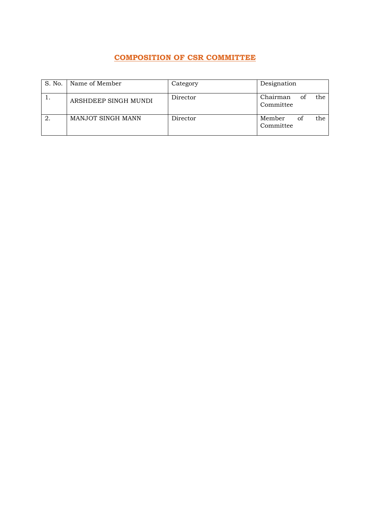## **COMPOSITION OF CSR COMMITTEE**

| S. No. | Name of Member       | Category | Designation                        |
|--------|----------------------|----------|------------------------------------|
|        | ARSHDEEP SINGH MUNDI | Director | Chairman<br>the<br>of<br>Committee |
|        | MANJOT SINGH MANN    | Director | Member<br>the.<br>of<br>Committee  |